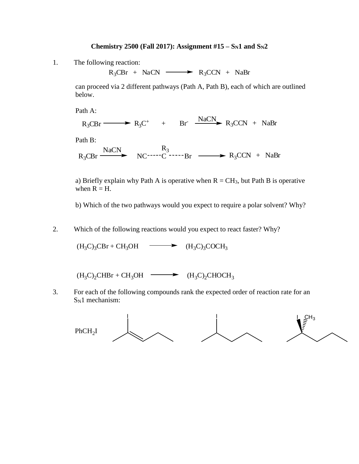## **Chemistry 2500 (Fall 2017): Assignment**  $#15 - S_N1$  **and**  $S_N2$

1. The following reaction:

 $R_3CBr + NaCN \longrightarrow R_3CCN + NaBr$ 

can proceed via 2 different pathways (Path A, Path B), each of which are outlined below.

Path A:  $R_3CBr \longrightarrow R_3C^+$  + Br  $\overline{NaCN}$   $R_3CCN$  + NaBr Path B:  $R_3$ CBr  $R_3$ C NaCN  $NC^{---}C$  ----- $Br \longrightarrow R_3CCN + NaBr$ 

a) Briefly explain why Path A is operative when  $R = CH_3$ , but Path B is operative when  $R = H$ .

b) Which of the two pathways would you expect to require a polar solvent? Why?

2. Which of the following reactions would you expect to react faster? Why?

 $(H_3C_3CBr + CH_3OH$  $_3$ CBr + CH<sub>3</sub>OH  $\longrightarrow$  (H<sub>3</sub>C)<sub>3</sub>COCH<sub>3</sub>

 $(H_3C)_2CHBr + CH_3OH \longrightarrow (H_3C)_2CHOCH_3$ 

3. For each of the following compounds rank the expected order of reaction rate for an S<sub>N</sub>1 mechanism:

I I I CH<sup>3</sup>  $PhCH<sub>2</sub>I$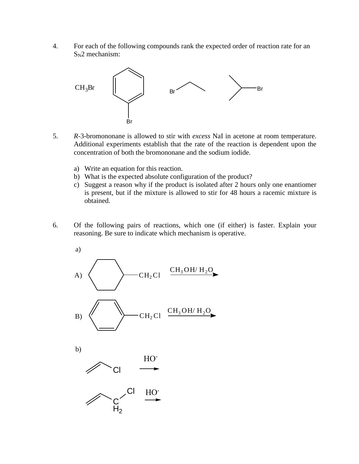4. For each of the following compounds rank the expected order of reaction rate for an S<sub>N</sub>2 mechanism:



- 5. *R*-3-bromononane is allowed to stir with *excess* NaI in acetone at room temperature. Additional experiments establish that the rate of the reaction is dependent upon the concentration of both the bromononane and the sodium iodide.
	- a) Write an equation for this reaction.
	- b) What is the expected absolute configuration of the product?
	- c) Suggest a reason why if the product is isolated after 2 hours only one enantiomer is present, but if the mixture is allowed to stir for 48 hours a racemic mixture is obtained.
- 6. Of the following pairs of reactions, which one (if either) is faster. Explain your reasoning. Be sure to indicate which mechanism is operative.







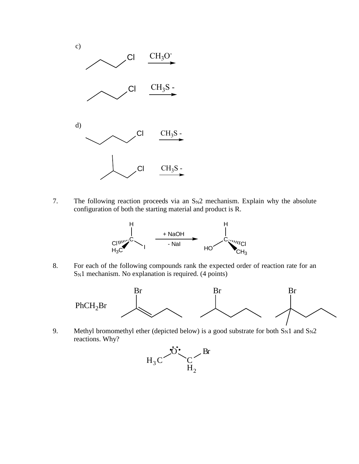

7. The following reaction proceeds via an  $S_N2$  mechanism. Explain why the absolute configuration of both the starting material and product is R.



8. For each of the following compounds rank the expected order of reaction rate for an  $S_N1$  mechanism. No explanation is required. (4 points)



9. Methyl bromomethyl ether (depicted below) is a good substrate for both  $S_N1$  and  $S_N2$ reactions. Why?



c)